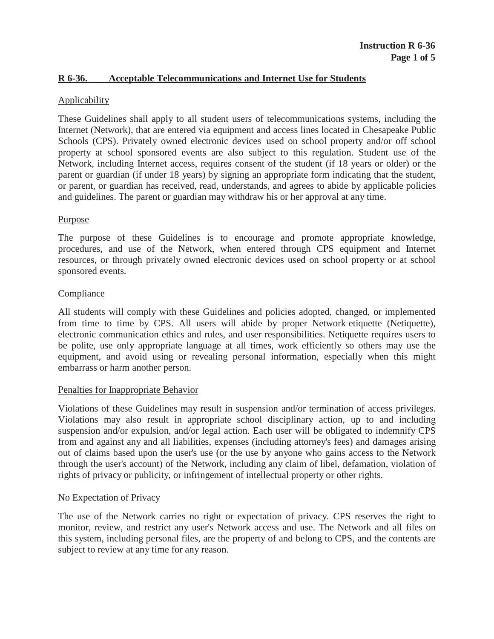# **R 6-36. Acceptable Telecommunications and Internet Use for Students**

# **Applicability**

These Guidelines shall apply to all student users of telecommunications systems, including the Internet (Network), that are entered via equipment and access lines located in Chesapeake Public Schools (CPS). Privately owned electronic devices used on school property and/or off school property at school sponsored events are also subject to this regulation. Student use of the Network, including Internet access, requires consent of the student (if 18 years or older) or the parent or guardian (if under 18 years) by signing an appropriate form indicating that the student, or parent, or guardian has received, read, understands, and agrees to abide by applicable policies and guidelines. The parent or guardian may withdraw his or her approval at any time.

#### **Purpose**

The purpose of these Guidelines is to encourage and promote appropriate knowledge, procedures, and use of the Network, when entered through CPS equipment and Internet resources, or through privately owned electronic devices used on school property or at school sponsored events.

#### Compliance

All students will comply with these Guidelines and policies adopted, changed, or implemented from time to time by CPS. All users will abide by proper Network etiquette (Netiquette), electronic communication ethics and rules, and user responsibilities. Netiquette requires users to be polite, use only appropriate language at all times, work efficiently so others may use the equipment, and avoid using or revealing personal information, especially when this might embarrass or harm another person.

#### Penalties for Inappropriate Behavior

Violations of these Guidelines may result in suspension and/or termination of access privileges. Violations may also result in appropriate school disciplinary action, up to and including suspension and/or expulsion, and/or legal action. Each user will be obligated to indemnify CPS from and against any and all liabilities, expenses (including attorney's fees) and damages arising out of claims based upon the user's use (or the use by anyone who gains access to the Network through the user's account) of the Network, including any claim of libel, defamation, violation of rights of privacy or publicity, or infringement of intellectual property or other rights.

# No Expectation of Privacy

The use of the Network carries no right or expectation of privacy. CPS reserves the right to monitor, review, and restrict any user's Network access and use. The Network and all files on this system, including personal files, are the property of and belong to CPS, and the contents are subject to review at any time for any reason.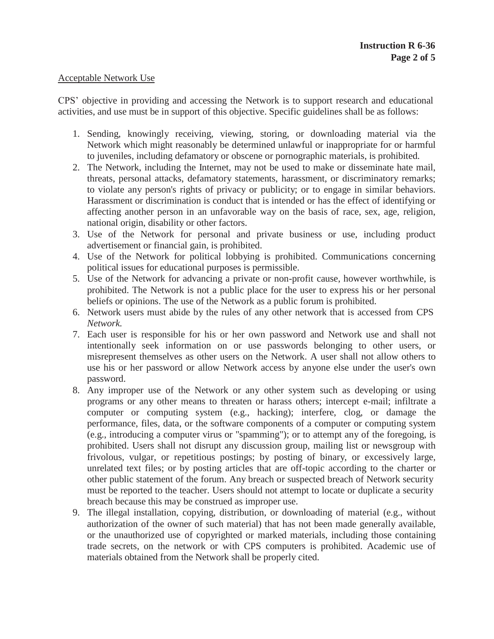# Acceptable Network Use

CPS' objective in providing and accessing the Network is to support research and educational activities, and use must be in support of this objective. Specific guidelines shall be as follows:

- 1. Sending, knowingly receiving, viewing, storing, or downloading material via the Network which might reasonably be determined unlawful or inappropriate for or harmful to juveniles, including defamatory or obscene or pornographic materials, is prohibited.
- 2. The Network, including the Internet, may not be used to make or disseminate hate mail, threats, personal attacks, defamatory statements, harassment, or discriminatory remarks; to violate any person's rights of privacy or publicity; or to engage in similar behaviors. Harassment or discrimination is conduct that is intended or has the effect of identifying or affecting another person in an unfavorable way on the basis of race, sex, age, religion, national origin, disability or other factors.
- 3. Use of the Network for personal and private business or use, including product advertisement or financial gain, is prohibited.
- 4. Use of the Network for political lobbying is prohibited. Communications concerning political issues for educational purposes is permissible.
- 5. Use of the Network for advancing a private or non-profit cause, however worthwhile, is prohibited. The Network is not a public place for the user to express his or her personal beliefs or opinions. The use of the Network as a public forum is prohibited.
- 6. Network users must abide by the rules of any other network that is accessed from CPS *Network.*
- 7. Each user is responsible for his or her own password and Network use and shall not intentionally seek information on or use passwords belonging to other users, or misrepresent themselves as other users on the Network. A user shall not allow others to use his or her password or allow Network access by anyone else under the user's own password.
- 8. Any improper use of the Network or any other system such as developing or using programs or any other means to threaten or harass others; intercept e-mail; infiltrate a computer or computing system (e.g., hacking); interfere, clog, or damage the performance, files, data, or the software components of a computer or computing system (e.g., introducing a computer virus or "spamming"); or to attempt any of the foregoing, is prohibited. Users shall not disrupt any discussion group, mailing list or newsgroup with frivolous, vulgar, or repetitious postings; by posting of binary, or excessively large, unrelated text files; or by posting articles that are off-topic according to the charter or other public statement of the forum. Any breach or suspected breach of Network security must be reported to the teacher. Users should not attempt to locate or duplicate a security breach because this may be construed as improper use.
- 9. The illegal installation, copying, distribution, or downloading of material (e.g., without authorization of the owner of such material) that has not been made generally available, or the unauthorized use of copyrighted or marked materials, including those containing trade secrets, on the network or with CPS computers is prohibited. Academic use of materials obtained from the Network shall be properly cited.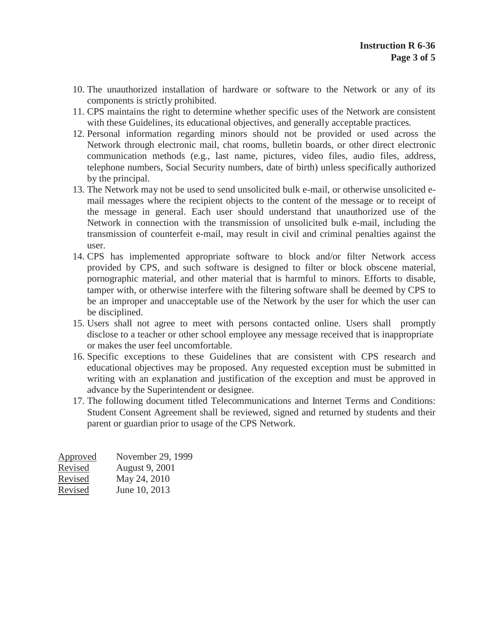- 10. The unauthorized installation of hardware or software to the Network or any of its components is strictly prohibited.
- 11. CPS maintains the right to determine whether specific uses of the Network are consistent with these Guidelines, its educational objectives, and generally acceptable practices.
- 12. Personal information regarding minors should not be provided or used across the Network through electronic mail, chat rooms, bulletin boards, or other direct electronic communication methods (e.g., last name, pictures, video files, audio files, address, telephone numbers, Social Security numbers, date of birth) unless specifically authorized by the principal.
- 13. The Network may not be used to send unsolicited bulk e-mail, or otherwise unsolicited email messages where the recipient objects to the content of the message or to receipt of the message in general. Each user should understand that unauthorized use of the Network in connection with the transmission of unsolicited bulk e-mail, including the transmission of counterfeit e-mail, may result in civil and criminal penalties against the user.
- 14. CPS has implemented appropriate software to block and/or filter Network access provided by CPS, and such software is designed to filter or block obscene material, pornographic material, and other material that is harmful to minors. Efforts to disable, tamper with, or otherwise interfere with the filtering software shall be deemed by CPS to be an improper and unacceptable use of the Network by the user for which the user can be disciplined.
- 15. Users shall not agree to meet with persons contacted online. Users shall promptly disclose to a teacher or other school employee any message received that is inappropriate or makes the user feel uncomfortable.
- 16. Specific exceptions to these Guidelines that are consistent with CPS research and educational objectives may be proposed. Any requested exception must be submitted in writing with an explanation and justification of the exception and must be approved in advance by the Superintendent or designee.
- 17. The following document titled Telecommunications and Internet Terms and Conditions: Student Consent Agreement shall be reviewed, signed and returned by students and their parent or guardian prior to usage of the CPS Network.

| Approved | November 29, 1999 |
|----------|-------------------|
| Revised  | August 9, 2001    |
| Revised  | May 24, 2010      |
| Revised  | June 10, 2013     |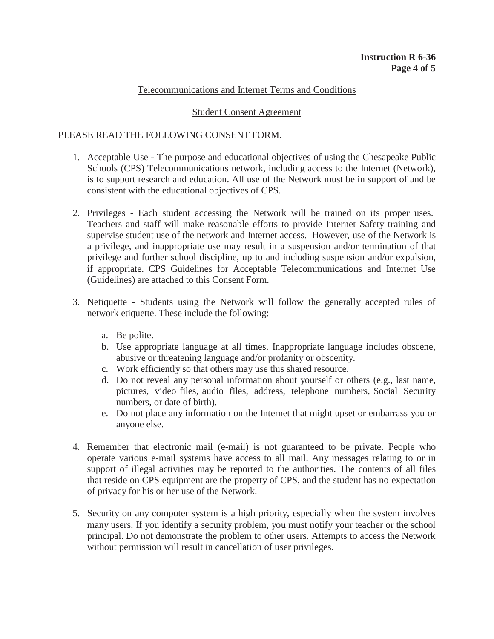# Telecommunications and Internet Terms and Conditions

#### Student Consent Agreement

# PLEASE READ THE FOLLOWING CONSENT FORM.

- 1. Acceptable Use The purpose and educational objectives of using the Chesapeake Public Schools (CPS) Telecommunications network, including access to the Internet (Network), is to support research and education. All use of the Network must be in support of and be consistent with the educational objectives of CPS.
- 2. Privileges Each student accessing the Network will be trained on its proper uses. Teachers and staff will make reasonable efforts to provide Internet Safety training and supervise student use of the network and Internet access. However, use of the Network is a privilege, and inappropriate use may result in a suspension and/or termination of that privilege and further school discipline, up to and including suspension and/or expulsion, if appropriate. CPS Guidelines for Acceptable Telecommunications and Internet Use (Guidelines) are attached to this Consent Form.
- 3. Netiquette Students using the Network will follow the generally accepted rules of network etiquette. These include the following:
	- a. Be polite.
	- b. Use appropriate language at all times. Inappropriate language includes obscene, abusive or threatening language and/or profanity or obscenity.
	- c. Work efficiently so that others may use this shared resource.
	- d. Do not reveal any personal information about yourself or others (e.g., last name, pictures, video files, audio files, address, telephone numbers, Social Security numbers, or date of birth).
	- e. Do not place any information on the Internet that might upset or embarrass you or anyone else.
- 4. Remember that electronic mail (e-mail) is not guaranteed to be private. People who operate various e-mail systems have access to all mail. Any messages relating to or in support of illegal activities may be reported to the authorities. The contents of all files that reside on CPS equipment are the property of CPS, and the student has no expectation of privacy for his or her use of the Network.
- 5. Security on any computer system is a high priority, especially when the system involves many users. If you identify a security problem, you must notify your teacher or the school principal. Do not demonstrate the problem to other users. Attempts to access the Network without permission will result in cancellation of user privileges.